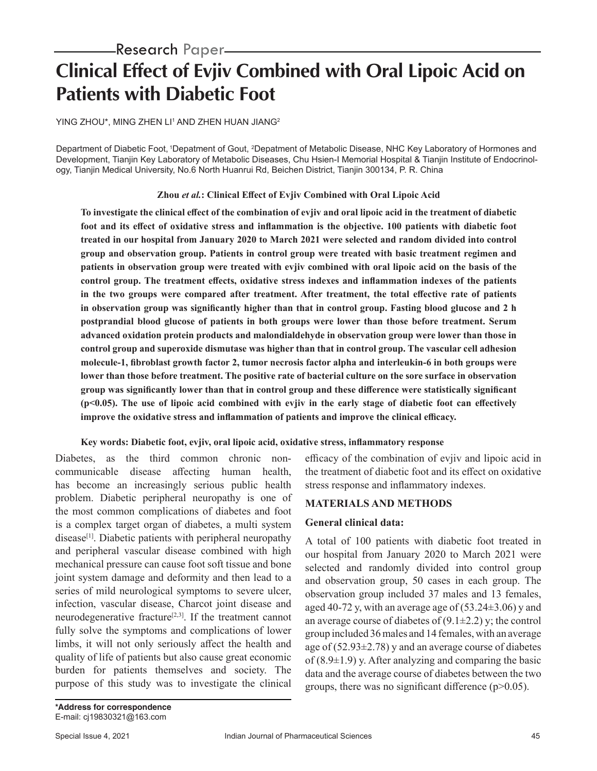# **Clinical Effect of Evjiv Combined with Oral Lipoic Acid on Patients with Diabetic Foot**

YING ZHOU\*, MING ZHEN LI' AND ZHEN HUAN JIANG<del>'</del>

Department of Diabetic Foot, 1Depatment of Gout, 2 Depatment of Metabolic Disease, NHC Key Laboratory of Hormones and Development, Tianjin Key Laboratory of Metabolic Diseases, Chu Hsien-I Memorial Hospital & Tianjin Institute of Endocrinology, Tianjin Medical University, No.6 North Huanrui Rd, Beichen District, Tianjin 300134, P. R. China

## **Zhou** *et al.***: Clinical Effect of Evjiv Combined with Oral Lipoic Acid**

**To investigate the clinical effect of the combination of evjiv and oral lipoic acid in the treatment of diabetic foot and its effect of oxidative stress and inflammation is the objective. 100 patients with diabetic foot treated in our hospital from January 2020 to March 2021 were selected and random divided into control group and observation group. Patients in control group were treated with basic treatment regimen and patients in observation group were treated with evjiv combined with oral lipoic acid on the basis of the control group. The treatment effects, oxidative stress indexes and inflammation indexes of the patients in the two groups were compared after treatment. After treatment, the total effective rate of patients in observation group was significantly higher than that in control group. Fasting blood glucose and 2 h postprandial blood glucose of patients in both groups were lower than those before treatment. Serum advanced oxidation protein products and malondialdehyde in observation group were lower than those in control group and superoxide dismutase was higher than that in control group. The vascular cell adhesion molecule-1, fibroblast growth factor 2, tumor necrosis factor alpha and interleukin-6 in both groups were lower than those before treatment. The positive rate of bacterial culture on the sore surface in observation group was significantly lower than that in control group and these difference were statistically significant (p<0.05). The use of lipoic acid combined with evjiv in the early stage of diabetic foot can effectively improve the oxidative stress and inflammation of patients and improve the clinical efficacy.**

## **Key words: Diabetic foot, evjiv, oral lipoic acid, oxidative stress, inflammatory response**

Diabetes, as the third common chronic noncommunicable disease affecting human health, has become an increasingly serious public health problem. Diabetic peripheral neuropathy is one of the most common complications of diabetes and foot is a complex target organ of diabetes, a multi system disease<sup>[1]</sup>. Diabetic patients with peripheral neuropathy and peripheral vascular disease combined with high mechanical pressure can cause foot soft tissue and bone joint system damage and deformity and then lead to a series of mild neurological symptoms to severe ulcer, infection, vascular disease, Charcot joint disease and neurodegenerative fracture<sup>[2,3]</sup>. If the treatment cannot fully solve the symptoms and complications of lower limbs, it will not only seriously affect the health and quality of life of patients but also cause great economic burden for patients themselves and society. The purpose of this study was to investigate the clinical

efficacy of the combination of evjiv and lipoic acid in the treatment of diabetic foot and its effect on oxidative stress response and inflammatory indexes.

## **MATERIALS AND METHODS**

## **General clinical data:**

A total of 100 patients with diabetic foot treated in our hospital from January 2020 to March 2021 were selected and randomly divided into control group and observation group, 50 cases in each group. The observation group included 37 males and 13 females, aged 40-72 y, with an average age of  $(53.24\pm3.06)$  y and an average course of diabetes of  $(9.1 \pm 2.2)$  y; the control group included 36 males and 14 females, with an average age of  $(52.93\pm2.78)$  y and an average course of diabetes of  $(8.9\pm1.9)$  y. After analyzing and comparing the basic data and the average course of diabetes between the two groups, there was no significant difference (p>0.05).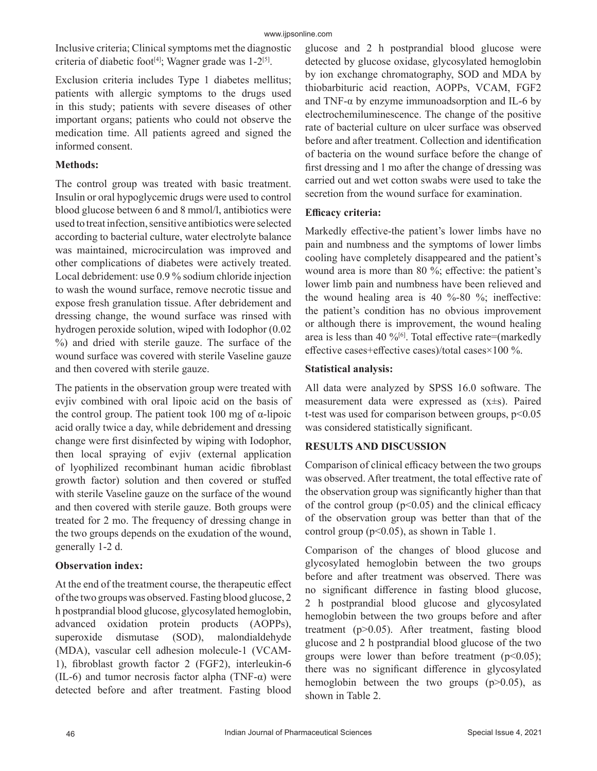Inclusive criteria; Clinical symptoms met the diagnostic criteria of diabetic foot<sup>[4]</sup>; Wagner grade was  $1-2^{5}$ .

Exclusion criteria includes Type 1 diabetes mellitus; patients with allergic symptoms to the drugs used in this study; patients with severe diseases of other important organs; patients who could not observe the medication time. All patients agreed and signed the informed consent.

## **Methods:**

The control group was treated with basic treatment. Insulin or oral hypoglycemic drugs were used to control blood glucose between 6 and 8 mmol/l, antibiotics were used to treat infection, sensitive antibiotics were selected according to bacterial culture, water electrolyte balance was maintained, microcirculation was improved and other complications of diabetes were actively treated. Local debridement: use 0.9 % sodium chloride injection to wash the wound surface, remove necrotic tissue and expose fresh granulation tissue. After debridement and dressing change, the wound surface was rinsed with hydrogen peroxide solution, wiped with Iodophor (0.02 %) and dried with sterile gauze. The surface of the wound surface was covered with sterile Vaseline gauze and then covered with sterile gauze.

The patients in the observation group were treated with evjiv combined with oral lipoic acid on the basis of the control group. The patient took 100 mg of α-lipoic acid orally twice a day, while debridement and dressing change were first disinfected by wiping with Iodophor, then local spraying of evjiv (external application of lyophilized recombinant human acidic fibroblast growth factor) solution and then covered or stuffed with sterile Vaseline gauze on the surface of the wound and then covered with sterile gauze. Both groups were treated for 2 mo. The frequency of dressing change in the two groups depends on the exudation of the wound, generally 1-2 d.

# **Observation index:**

At the end of the treatment course, the therapeutic effect of the two groups was observed. Fasting blood glucose, 2 h postprandial blood glucose, glycosylated hemoglobin, advanced oxidation protein products (AOPPs), superoxide dismutase (SOD), malondialdehyde (MDA), vascular cell adhesion molecule-1 (VCAM-1), fibroblast growth factor 2 (FGF2), interleukin-6 (IL-6) and tumor necrosis factor alpha (TNF- $\alpha$ ) were detected before and after treatment. Fasting blood glucose and 2 h postprandial blood glucose were detected by glucose oxidase, glycosylated hemoglobin by ion exchange chromatography, SOD and MDA by thiobarbituric acid reaction, AOPPs, VCAM, FGF2 and TNF- $\alpha$  by enzyme immunoadsorption and IL-6 by electrochemiluminescence. The change of the positive rate of bacterial culture on ulcer surface was observed before and after treatment. Collection and identification of bacteria on the wound surface before the change of first dressing and 1 mo after the change of dressing was carried out and wet cotton swabs were used to take the secretion from the wound surface for examination.

## **Efficacy criteria:**

Markedly effective-the patient's lower limbs have no pain and numbness and the symptoms of lower limbs cooling have completely disappeared and the patient's wound area is more than 80 %; effective: the patient's lower limb pain and numbness have been relieved and the wound healing area is 40 %-80 %; ineffective: the patient's condition has no obvious improvement or although there is improvement, the wound healing area is less than 40 % $[6]$ . Total effective rate=(markedly effective cases+effective cases)/total cases×100 %.

## **Statistical analysis:**

All data were analyzed by SPSS 16.0 software. The measurement data were expressed as (x±s). Paired t-test was used for comparison between groups,  $p<0.05$ was considered statistically significant.

# **RESULTS AND DISCUSSION**

Comparison of clinical efficacy between the two groups was observed. After treatment, the total effective rate of the observation group was significantly higher than that of the control group ( $p \le 0.05$ ) and the clinical efficacy of the observation group was better than that of the control group ( $p<0.05$ ), as shown in Table 1.

Comparison of the changes of blood glucose and glycosylated hemoglobin between the two groups before and after treatment was observed. There was no significant difference in fasting blood glucose, 2 h postprandial blood glucose and glycosylated hemoglobin between the two groups before and after treatment (p>0.05). After treatment, fasting blood glucose and 2 h postprandial blood glucose of the two groups were lower than before treatment  $(p<0.05)$ ; there was no significant difference in glycosylated hemoglobin between the two groups  $(p>0.05)$ , as shown in Table 2.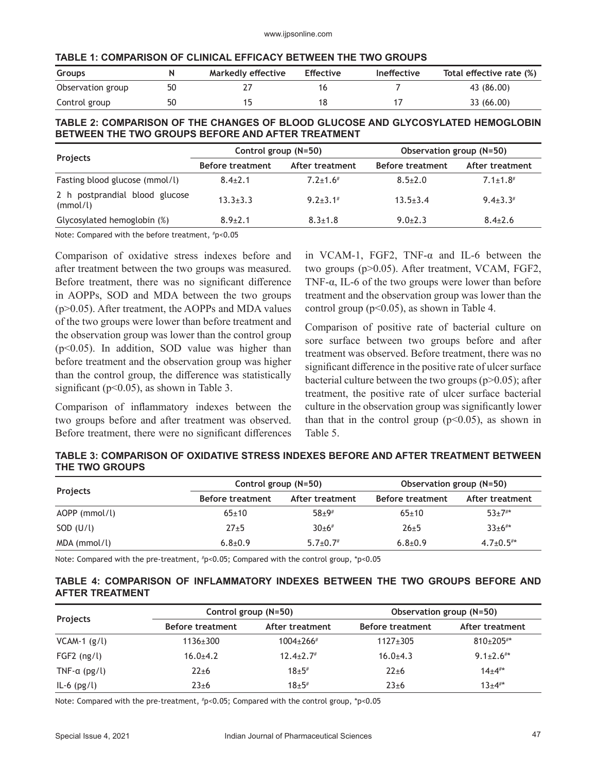|  | TABLE 1: COMPARISON OF CLINICAL EFFICACY BETWEEN THE TWO GROUPS |
|--|-----------------------------------------------------------------|
|--|-----------------------------------------------------------------|

| <b>Groups</b>     | N  | Markedly effective | <b>Effective</b> | <b>Ineffective</b> | Total effective rate (%) |
|-------------------|----|--------------------|------------------|--------------------|--------------------------|
| Observation group | 50 |                    |                  |                    | 43 (86.00)               |
| Control group     | 50 |                    |                  |                    | 33 (66.00)               |

#### **TABLE 2: COMPARISON OF THE CHANGES OF BLOOD GLUCOSE AND GLYCOSYLATED HEMOGLOBIN BETWEEN THE TWO GROUPS BEFORE AND AFTER TREATMENT**

|                                            | Control group (N=50)    |                 | Observation group (N=50) |                 |
|--------------------------------------------|-------------------------|-----------------|--------------------------|-----------------|
| Projects                                   | <b>Before treatment</b> | After treatment | <b>Before treatment</b>  | After treatment |
| Fasting blood glucose (mmol/l)             | $8.4{\pm}2.1$           | $7.2 + 1.6$     | $8.5 \pm 2.0$            | $7.1 \pm 1.8$   |
| 2 h postprandial blood glucose<br>(mmol/l) | $13.3 + 3.3$            | $9.2 + 3.1$     | $13.5 + 3.4$             | $9.4 \pm 3.3$   |
| Glycosylated hemoglobin (%)                | $8.9{\pm}2.1$           | $8.3 \pm 1.8$   | $9.0+2.3$                | $8.4{\pm}2.6$   |

Note: Compared with the before treatment, # p<0.05

Comparison of oxidative stress indexes before and after treatment between the two groups was measured. Before treatment, there was no significant difference in AOPPs, SOD and MDA between the two groups (p>0.05). After treatment, the AOPPs and MDA values of the two groups were lower than before treatment and the observation group was lower than the control group (p<0.05). In addition, SOD value was higher than before treatment and the observation group was higher than the control group, the difference was statistically significant ( $p<0.05$ ), as shown in Table 3.

Comparison of inflammatory indexes between the two groups before and after treatment was observed. Before treatment, there were no significant differences in VCAM-1, FGF2, TNF-α and IL-6 between the two groups (p>0.05). After treatment, VCAM, FGF2, TNF- $\alpha$ , IL-6 of the two groups were lower than before treatment and the observation group was lower than the control group ( $p<0.05$ ), as shown in Table 4.

Comparison of positive rate of bacterial culture on sore surface between two groups before and after treatment was observed. Before treatment, there was no significant difference in the positive rate of ulcer surface bacterial culture between the two groups  $(p>0.05)$ ; after treatment, the positive rate of ulcer surface bacterial culture in the observation group was significantly lower than that in the control group  $(p<0.05)$ , as shown in Table 5.

## **TABLE 3: COMPARISON OF OXIDATIVE STRESS INDEXES BEFORE AND AFTER TREATMENT BETWEEN THE TWO GROUPS**

| <b>Projects</b> |                         | Control group $(N=50)$ |                         | Observation group (N=50)    |  |
|-----------------|-------------------------|------------------------|-------------------------|-----------------------------|--|
|                 | <b>Before treatment</b> | After treatment        | <b>Before treatment</b> | After treatment             |  |
| AOPP (mmol/l)   | $65 \pm 10$             | $58 + 9$               | $65 \pm 10$             | $53+7**$                    |  |
| SOD (U/l)       | $27+5$                  | $30+6#$                | $26 + 5$                | $33+6$ <sup>#*</sup>        |  |
| MDA (mmol/l)    | $6.8{\pm}0.9$           | $5.7 \pm 0.7$          | $6.8 + 0.9$             | $4.7 \pm 0.5$ <sup>#*</sup> |  |

Note: Compared with the pre-treatment, # p<0.05; Compared with the control group, \*p<0.05

## **TABLE 4: COMPARISON OF INFLAMMATORY INDEXES BETWEEN THE TWO GROUPS BEFORE AND AFTER TREATMENT**

| Projects             |                         | Control group (N=50)        |                         | Observation group (N=50) |  |
|----------------------|-------------------------|-----------------------------|-------------------------|--------------------------|--|
|                      | <b>Before treatment</b> | After treatment             | <b>Before treatment</b> | After treatment          |  |
| $VCAM-1$ (g/l)       | $1136 \pm 300$          | $1004 \pm 266$ <sup>#</sup> | $1127 \pm 305$          | $810+205$ #*             |  |
| $FGF2$ (ng/l)        | $16.0+4.2$              | $12.4 \pm 2.7$              | $16.0+4.3$              | $9.1 \pm 2.6$ #*         |  |
| TNF- $\alpha$ (pg/l) | $22 + 6$                | $18+5#$                     | $22 + 6$                | $14+4^{**}$              |  |
| $IL-6$ ( $pg/l$ )    | $23 + 6$                | $18+5#$                     | $23 + 6$                | $13+4$ #*                |  |

Note: Compared with the pre-treatment, # p<0.05; Compared with the control group, \*p<0.05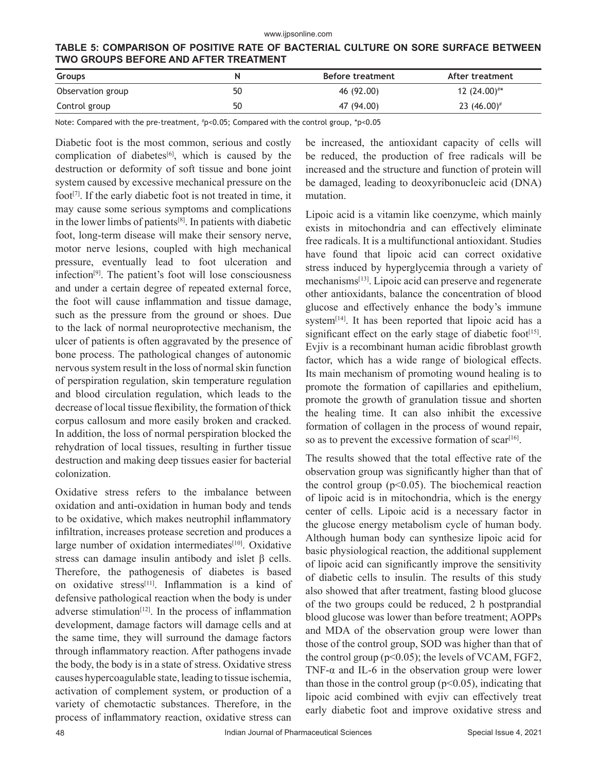**TABLE 5: COMPARISON OF POSITIVE RATE OF BACTERIAL CULTURE ON SORE SURFACE BETWEEN TWO GROUPS BEFORE AND AFTER TREATMENT**

| <b>Groups</b>     |    | <b>Before treatment</b> | After treatment   |
|-------------------|----|-------------------------|-------------------|
| Observation group | 50 | 46 (92.00)              | 12 $(24.00)$ #*   |
| Control group     | 50 | 47 (94.00)              | 23 $(46.00)^{\#}$ |

Note: Compared with the pre-treatment, # p<0.05; Compared with the control group, \*p<0.05

Diabetic foot is the most common, serious and costly complication of diabetes<sup>[6]</sup>, which is caused by the destruction or deformity of soft tissue and bone joint system caused by excessive mechanical pressure on the foot<sup>[7]</sup>. If the early diabetic foot is not treated in time, it may cause some serious symptoms and complications in the lower limbs of patients $[8]$ . In patients with diabetic foot, long-term disease will make their sensory nerve, motor nerve lesions, coupled with high mechanical pressure, eventually lead to foot ulceration and infection[9]. The patient's foot will lose consciousness and under a certain degree of repeated external force, the foot will cause inflammation and tissue damage, such as the pressure from the ground or shoes. Due to the lack of normal neuroprotective mechanism, the ulcer of patients is often aggravated by the presence of bone process. The pathological changes of autonomic nervous system result in the loss of normal skin function of perspiration regulation, skin temperature regulation and blood circulation regulation, which leads to the decrease of local tissue flexibility, the formation of thick corpus callosum and more easily broken and cracked. In addition, the loss of normal perspiration blocked the rehydration of local tissues, resulting in further tissue destruction and making deep tissues easier for bacterial colonization.

Oxidative stress refers to the imbalance between oxidation and anti-oxidation in human body and tends to be oxidative, which makes neutrophil inflammatory infiltration, increases protease secretion and produces a large number of oxidation intermediates<sup>[10]</sup>. Oxidative stress can damage insulin antibody and islet  $\beta$  cells. Therefore, the pathogenesis of diabetes is based on oxidative stress<sup>[11]</sup>. Inflammation is a kind of defensive pathological reaction when the body is under adverse stimulation $[12]$ . In the process of inflammation development, damage factors will damage cells and at the same time, they will surround the damage factors through inflammatory reaction. After pathogens invade the body, the body is in a state of stress. Oxidative stress causes hypercoagulable state, leading to tissue ischemia, activation of complement system, or production of a variety of chemotactic substances. Therefore, in the process of inflammatory reaction, oxidative stress can

be increased, the antioxidant capacity of cells will be reduced, the production of free radicals will be increased and the structure and function of protein will be damaged, leading to deoxyribonucleic acid (DNA) mutation.

Lipoic acid is a vitamin like coenzyme, which mainly exists in mitochondria and can effectively eliminate free radicals. It is a multifunctional antioxidant. Studies have found that lipoic acid can correct oxidative stress induced by hyperglycemia through a variety of mechanisms[13]. Lipoic acid can preserve and regenerate other antioxidants, balance the concentration of blood glucose and effectively enhance the body's immune system<sup>[14]</sup>. It has been reported that lipoic acid has a significant effect on the early stage of diabetic foot<sup>[15]</sup>. Evjiv is a recombinant human acidic fibroblast growth factor, which has a wide range of biological effects. Its main mechanism of promoting wound healing is to promote the formation of capillaries and epithelium, promote the growth of granulation tissue and shorten the healing time. It can also inhibit the excessive formation of collagen in the process of wound repair, so as to prevent the excessive formation of scar $^{[16]}$ .

The results showed that the total effective rate of the observation group was significantly higher than that of the control group ( $p<0.05$ ). The biochemical reaction of lipoic acid is in mitochondria, which is the energy center of cells. Lipoic acid is a necessary factor in the glucose energy metabolism cycle of human body. Although human body can synthesize lipoic acid for basic physiological reaction, the additional supplement of lipoic acid can significantly improve the sensitivity of diabetic cells to insulin. The results of this study also showed that after treatment, fasting blood glucose of the two groups could be reduced, 2 h postprandial blood glucose was lower than before treatment; AOPPs and MDA of the observation group were lower than those of the control group, SOD was higher than that of the control group ( $p<0.05$ ); the levels of VCAM, FGF2, TNF- $\alpha$  and IL-6 in the observation group were lower than those in the control group ( $p<0.05$ ), indicating that lipoic acid combined with evjiv can effectively treat early diabetic foot and improve oxidative stress and